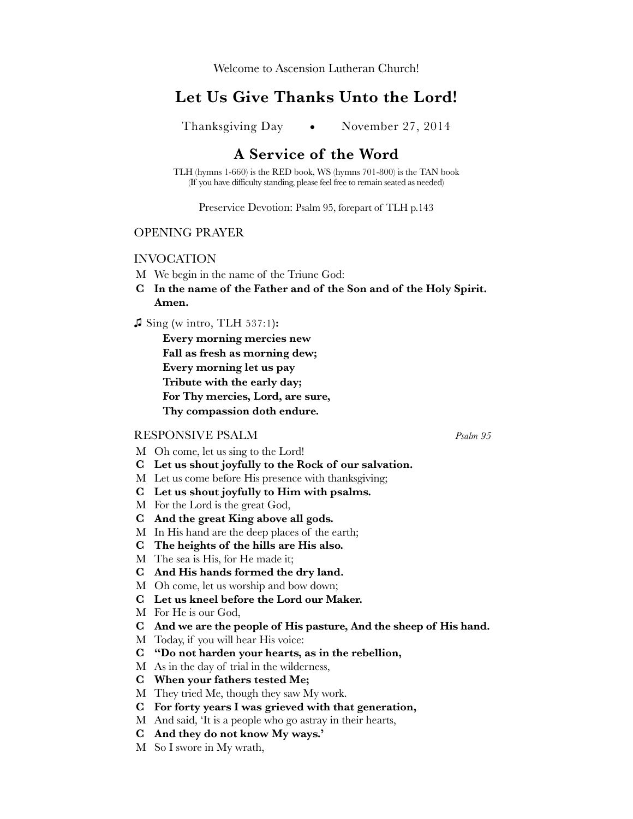Welcome to Ascension Lutheran Church!

# **Let Us Give Thanks Unto the Lord!**

Thanksgiving Day • November 27, 2014

# **A Service of the Word**

TLH (hymns 1-660) is the RED book, WS (hymns 701-800) is the TAN book (If you have difficulty standing, please feel free to remain seated as needed)

Preservice Devotion: Psalm 95, forepart of TLH p.143

## OPENING PRAYER

## INVOCATION

- M We begin in the name of the Triune God:
- **C In the name of the Father and of the Son and of the Holy Spirit. Amen.**
- **♫** Sing **(**w intro, TLH 537:1**):**

**Every morning mercies new Fall as fresh as morning dew; Every morning let us pay Tribute with the early day; For Thy mercies, Lord, are sure, Thy compassion doth endure.**

#### RESPONSIVE PSALM *Psalm 95*

- M Oh come, let us sing to the Lord!
- **C Let us shout joyfully to the Rock of our salvation.**
- M Let us come before His presence with thanksgiving;
- **C Let us shout joyfully to Him with psalms.**
- M For the Lord is the great God,
- **C And the great King above all gods.**
- M In His hand are the deep places of the earth;
- **C The heights of the hills are His also.**
- M The sea is His, for He made it;
- **C And His hands formed the dry land.**
- M Oh come, let us worship and bow down;
- **C Let us kneel before the Lord our Maker.**
- M For He is our God,
- **C And we are the people of His pasture, And the sheep of His hand.**
- M Today, if you will hear His voice:
- **C "Do not harden your hearts, as in the rebellion,**
- M As in the day of trial in the wilderness,
- **C When your fathers tested Me;**
- M They tried Me, though they saw My work.
- **C For forty years I was grieved with that generation,**
- M And said, 'It is a people who go astray in their hearts,
- **C And they do not know My ways.'**
- M So I swore in My wrath,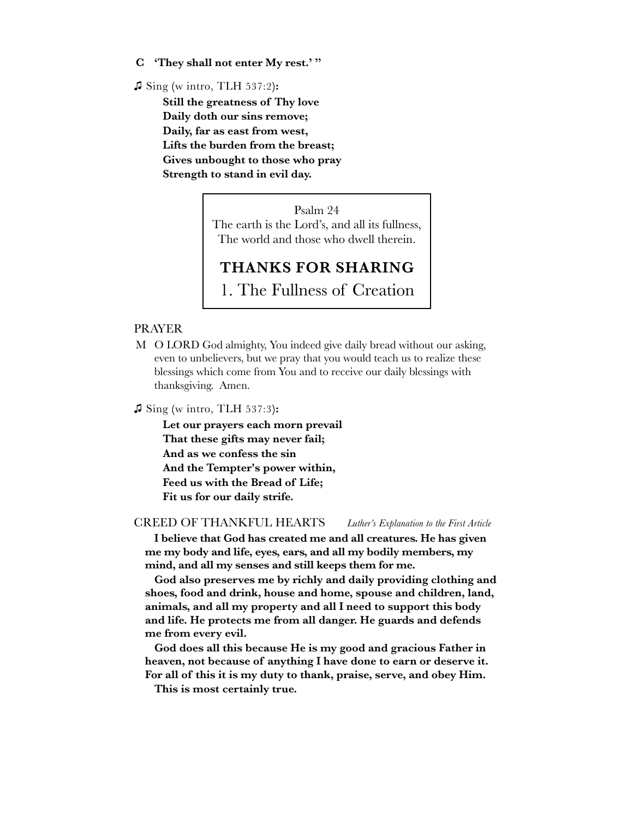**C 'They shall not enter My rest.' "**

**♫** Sing **(**w intro, TLH 537:2**):**

**Still the greatness of Thy love Daily doth our sins remove; Daily, far as east from west, Lifts the burden from the breast; Gives unbought to those who pray Strength to stand in evil day.**

> Psalm 24 The earth is the Lord's, and all its fullness, The world and those who dwell therein.

# **THANKS FOR SHARING**

1. The Fullness of Creation

#### PRAYER

M O LORD God almighty, You indeed give daily bread without our asking, even to unbelievers, but we pray that you would teach us to realize these blessings which come from You and to receive our daily blessings with thanksgiving. Amen.

**♫** Sing **(**w intro, TLH 537:3**):**

**Let our prayers each morn prevail That these gifts may never fail; And as we confess the sin And the Tempter's power within, Feed us with the Bread of Life; Fit us for our daily strife.**

CREED OF THANKFUL HEARTS *Luther's Explanation to the First Article*

**I believe that God has created me and all creatures. He has given me my body and life, eyes, ears, and all my bodily members, my mind, and all my senses and still keeps them for me.**

**God also preserves me by richly and daily providing clothing and shoes, food and drink, house and home, spouse and children, land, animals, and all my property and all I need to support this body and life. He protects me from all danger. He guards and defends me from every evil.**

**God does all this because He is my good and gracious Father in heaven, not because of anything I have done to earn or deserve it. For all of this it is my duty to thank, praise, serve, and obey Him.**

**This is most certainly true.**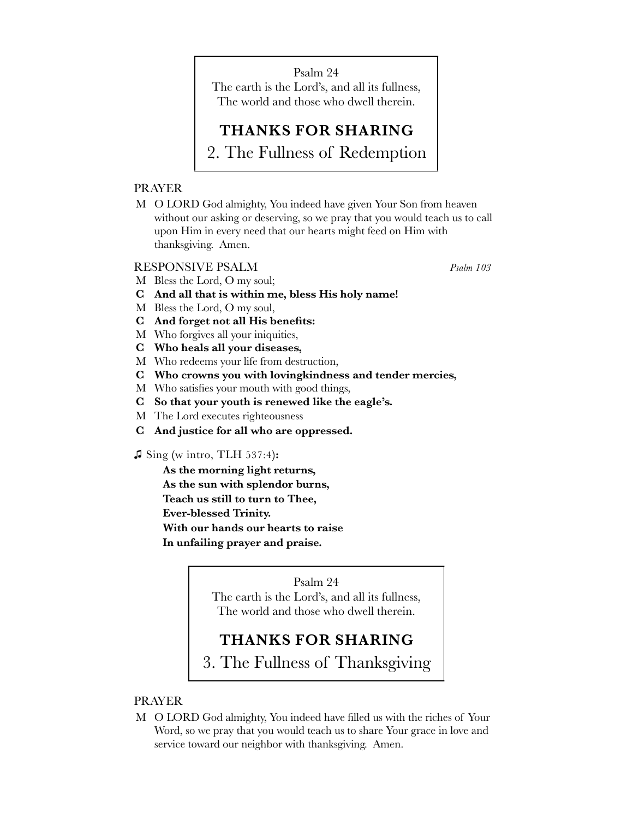Psalm 24 The earth is the Lord's, and all its fullness, The world and those who dwell therein.

# **THANKS FOR SHARING**

2. The Fullness of Redemption

# PRAYER

M O LORD God almighty, You indeed have given Your Son from heaven without our asking or deserving, so we pray that you would teach us to call upon Him in every need that our hearts might feed on Him with thanksgiving. Amen.

# RESPONSIVE PSALM *Psalm 103*

- M Bless the Lord, O my soul;
- **C And all that is within me, bless His holy name!**
- M Bless the Lord, O my soul,
- **C And forget not all His benefits:**
- M Who forgives all your iniquities,
- **C Who heals all your diseases,**
- M Who redeems your life from destruction,
- **C Who crowns you with lovingkindness and tender mercies,**
- M Who satisfies your mouth with good things,
- **C So that your youth is renewed like the eagle's.**
- M The Lord executes righteousness
- **C And justice for all who are oppressed.**

#### **♫** Sing **(**w intro, TLH 537:4**):**

**As the morning light returns,**

**As the sun with splendor burns,**

**Teach us still to turn to Thee,**

**Ever-blessed Trinity.**

**With our hands our hearts to raise**

**In unfailing prayer and praise.**

## Psalm 24

The earth is the Lord's, and all its fullness, The world and those who dwell therein.

# **THANKS FOR SHARING**

3. The Fullness of Thanksgiving

## PRAYER

M O LORD God almighty, You indeed have filled us with the riches of Your Word, so we pray that you would teach us to share Your grace in love and service toward our neighbor with thanksgiving. Amen.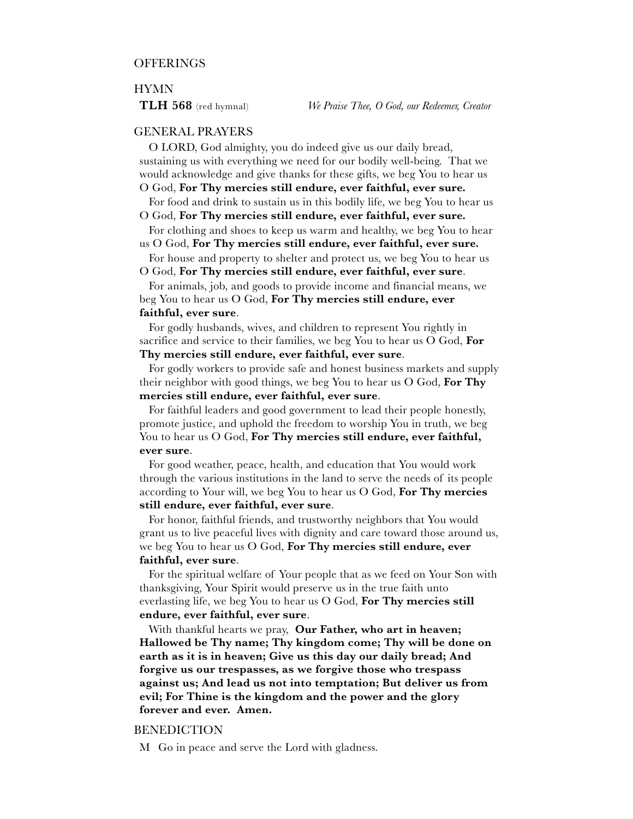#### HYMN

# GENERAL PRAYERS

O LORD, God almighty, you do indeed give us our daily bread, sustaining us with everything we need for our bodily well-being. That we would acknowledge and give thanks for these gifts, we beg You to hear us O God, **For Thy mercies still endure, ever faithful, ever sure.**

For food and drink to sustain us in this bodily life, we beg You to hear us

O God, **For Thy mercies still endure, ever faithful, ever sure.**

For clothing and shoes to keep us warm and healthy, we beg You to hear us O God, **For Thy mercies still endure, ever faithful, ever sure.**

For house and property to shelter and protect us, we beg You to hear us O God, **For Thy mercies still endure, ever faithful, ever sure**.

For animals, job, and goods to provide income and financial means, we beg You to hear us O God, **For Thy mercies still endure, ever faithful, ever sure**.

#### For godly husbands, wives, and children to represent You rightly in sacrifice and service to their families, we beg You to hear us O God, **For Thy mercies still endure, ever faithful, ever sure**.

For godly workers to provide safe and honest business markets and supply their neighbor with good things, we beg You to hear us O God, **For Thy mercies still endure, ever faithful, ever sure**.

For faithful leaders and good government to lead their people honestly, promote justice, and uphold the freedom to worship You in truth, we beg You to hear us O God, **For Thy mercies still endure, ever faithful, ever sure**.

For good weather, peace, health, and education that You would work through the various institutions in the land to serve the needs of its people according to Your will, we beg You to hear us O God, **For Thy mercies still endure, ever faithful, ever sure**.

For honor, faithful friends, and trustworthy neighbors that You would grant us to live peaceful lives with dignity and care toward those around us, we beg You to hear us O God, **For Thy mercies still endure, ever faithful, ever sure**.

For the spiritual welfare of Your people that as we feed on Your Son with thanksgiving, Your Spirit would preserve us in the true faith unto everlasting life, we beg You to hear us O God, **For Thy mercies still endure, ever faithful, ever sure**.

With thankful hearts we pray, **Our Father, who art in heaven; Hallowed be Thy name; Thy kingdom come; Thy will be done on earth as it is in heaven; Give us this day our daily bread; And forgive us our trespasses, as we forgive those who trespass against us; And lead us not into temptation; But deliver us from evil; For Thine is the kingdom and the power and the glory forever and ever. Amen.**

#### BENEDICTION

M Go in peace and serve the Lord with gladness.